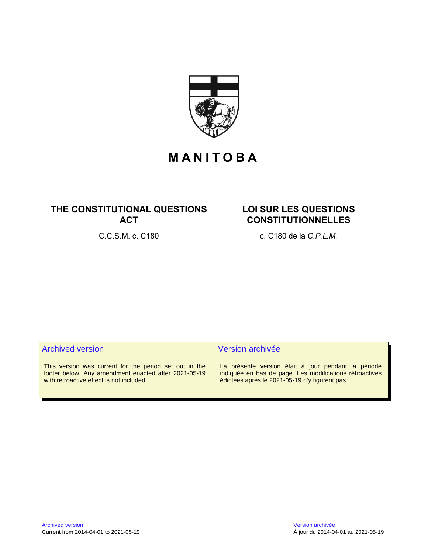

# **M A N I T O B A**

# **THE CONSTITUTIONAL QUESTIONS ACT**

# **LOI SUR LES QUESTIONS CONSTITUTIONNELLES**

C.C.S.M. c. C180 c. C180 de la *C.P.L.M.*

# Archived version and version archivée

This version was current for the period set out in the footer below. Any amendment enacted after 2021-05-19 with retroactive effect is not included.

La présente version était à jour pendant la période indiquée en bas de page. Les modifications rétroactives édictées après le 2021-05-19 n'y figurent pas.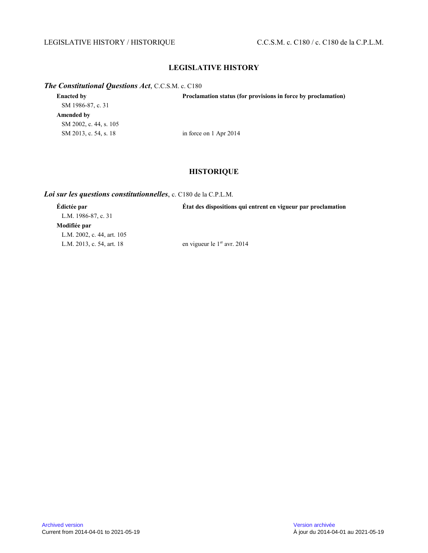# LEGISLATIVE HISTORY / HISTORIQUE C.C.S.M. c. C180 / c. C180 de la C.P.L.M.

# **LEGISLATIVE HISTORY**

# *The Constitutional Questions Act*, C.C.S.M. c. C180

| <b>Enacted by</b>      | Proclamation status (for provisions in force by proclamation) |
|------------------------|---------------------------------------------------------------|
| SM 1986-87, c. 31      |                                                               |
| Amended by             |                                                               |
| SM 2002, c. 44, s. 105 |                                                               |
| SM 2013, c. 54, s. 18  | in force on 1 Apr 2014                                        |
|                        |                                                               |

# **HISTORIQUE**

### *Loi sur les questions constitutionnelles*, c. C180 de la C.P.L.M.

| Edictée par                | Etat des dispositions qui entrent en vigueur par proclamation |
|----------------------------|---------------------------------------------------------------|
| L.M. 1986-87, c. 31        |                                                               |
| Modifiée par               |                                                               |
| L.M. 2002, c. 44, art. 105 |                                                               |
| L.M. 2013, c. 54, art. 18  | en vigueur le $1er$ avr. 2014                                 |
|                            |                                                               |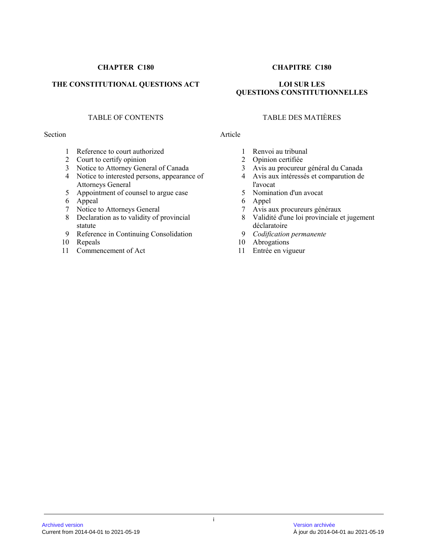# THE CONSTITUTIONAL QUESTIONS ACT LOI SUR LES

#### Section Article

- 1 Reference to court authorized
- 2 Court to certify opinion
- 3 Notice to Attorney General of Canada
- 4 Notice to interested persons, appearance of Attorneys General
- 5 Appointment of counsel to argue case
- 6 Appeal
- 7 Notice to Attorneys General
- 8 Declaration as to validity of provincial statute
- 9 Reference in Continuing Consolidation
- 10 Repeals
- 11 Commencement of Act

# **CHAPTER C180 CHAPITRE C180**

# **QUESTIONS CONSTITUTIONNELLES**

# TABLE OF CONTENTS TABLE DES MATIÈRES

- 1 Renvoi au tribunal<br>2 Opinion certifiée
- Opinion certifiée
- 3 Avis au procureur général du Canada
- 4 Avis aux intéressés et comparution de l'avocat
- 5 Nomination d'un avocat
- 6 Appel
- 7 Avis aux procureurs généraux
- 8 Validité d'une loi provinciale et jugement déclaratoire
- 9 *Codification permanente*
- 10 Abrogations
- 11 Entrée en vigueur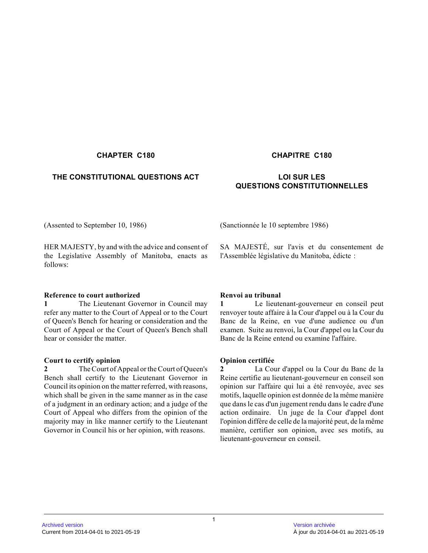# **THE CONSTITUTIONAL QUESTIONS ACT LOI SUR LES**

# **CHAPTER C180 CHAPITRE C180**

# **QUESTIONS CONSTITUTIONNELLES**

HER MAJESTY, by and with the advice and consent of the Legislative Assembly of Manitoba, enacts as follows:

# **Reference to court authorized**

**1** The Lieutenant Governor in Council may refer any matter to the Court of Appeal or to the Court of Queen's Bench for hearing or consideration and the Court of Appeal or the Court of Queen's Bench shall hear or consider the matter.

# **Court to certify opinion**

**2** The Court of Appeal or the Court of Queen's Bench shall certify to the Lieutenant Governor in Council its opinion on the matter referred, with reasons, which shall be given in the same manner as in the case of a judgment in an ordinary action; and a judge of the Court of Appeal who differs from the opinion of the majority may in like manner certify to the Lieutenant Governor in Council his or her opinion, with reasons.

(Assented to September 10, 1986) (Sanctionnée le 10 septembre 1986)

SA MAJESTÉ, sur l'avis et du consentement de l'Assemblée législative du Manitoba, édicte :

# **Renvoi au tribunal**

**1** Le lieutenant-gouverneur en conseil peut renvoyer toute affaire à la Cour d'appel ou à la Cour du Banc de la Reine, en vue d'une audience ou d'un examen. Suite au renvoi, la Cour d'appel ou la Cour du Banc de la Reine entend ou examine l'affaire.

# **Opinion certifiée**

**2** La Cour d'appel ou la Cour du Banc de la Reine certifie au lieutenant-gouverneur en conseil son opinion sur l'affaire qui lui a été renvoyée, avec se s motifs, laquelle opinion est donnée de la même manière que dans le cas d'un jugement rendu dans le cadre d'une action ordinaire. Un juge de la Cour d'appel dont l'opinion diffère de celle de la majorité peut, de la même manière, certifier son opinion, avec ses motifs, au lieutenant-gouverneur en conseil.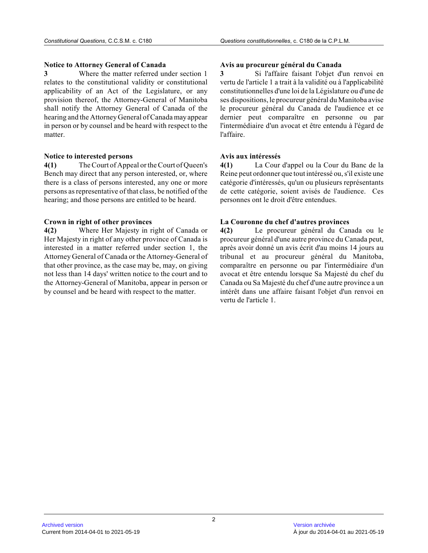### **Notice to Attorney General of Canada**

**3** Where the matter referred under section 1 relates to the constitutional validity or constitutional applicability of an Act of the Legislature, or any provision thereof, the Attorney-General of Manitoba shall notify the Attorney General of Canada of the hearing and the Attorney General of Canada may appear in person or by counsel and be heard with respect to the matter.

#### **Notice to interested persons**

**4(1)** The Court of Appeal or the Court of Queen's Bench may direct that any person interested, or, where there is a class of persons interested, any one or more persons as representative of that class, be notified of the hearing; and those persons are entitled to be heard .

# **Crown in right of other provinces**

**4(2)** Where Her Majesty in right of Canada or Her Majesty in right of any other province of Canada is interested in a matter referred under section 1, th e Attorney General of Canada or the Attorney-General of that other province, as the case may be, may, on giving not less than 14 days' written notice to the court and to the Attorney-General of Manitoba, appear in person or by counsel and be heard with respect to the matter.

# **Avis au procureur général du Canada**

**3** Si l'affaire faisant l'objet d'un renvoi en vertu de l'article 1 a trait à la validité ou à l'applicabilité constitutionnelles d'une loi de la Législature ou d'une de ses dispositions, le procureur général du Manitoba avise le procureur général du Canada de l'audience et ce dernier peut comparaître en personne ou par l'intermédiaire d'un avocat et être entendu à l'égard de l'affaire.

# **Avis aux intéressés**

**4(1)** La Cour d'appel ou la Cour du Banc de la Reine peut ordonner que tout intéressé ou, s'il existe une catégorie d'intéressés, qu'un ou plusieurs représentants de cette catégorie, soient avisés de l'audience. Ce s personnes ont le droit d'être entendues.

# **La Couronne du chef d'autres provinces**

**4(2)** Le procureur général du Canada ou le procureur général d'une autre province du Canada peut, après avoir donné un avis écrit d'au moins 14 jours a u tribunal et au procureur général du Manitoba, comparaître en personne ou par l'intermédiaire d'un avocat et être entendu lorsque Sa Majesté du chef d u Canada ou Sa Majesté du chef d'une autre province a un intérêt dans une affaire faisant l'objet d'un renvoi en vertu de l'article 1.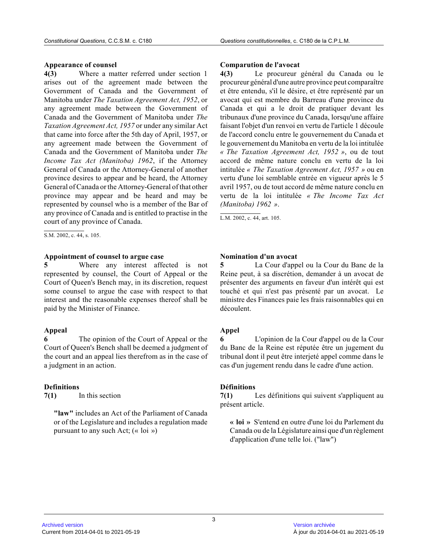#### **Appearance of counsel**

**4(3)** Where a matter referred under section 1 arises out of the agreement made between the Government of Canada and the Government of Manitoba under *The Taxation Agreement Act, 1952*, or any agreement made between the Government of Canada and the Government of Manitoba under *The Taxation Agreement Act, 1957* or under any similar Act that came into force after the 5th day of April, 1957, or any agreement made between the Government of Canada and the Government of Manitoba under *The Income Tax Act (Manitoba) 1962*, if the Attorney General of Canada or the Attorney-General of another province desires to appear and be heard, the Attorne y General of Canada or the Attorney-General of that other province may appear and be heard and may be represented by counsel who is a member of the Bar o f any province of Canada and is entitled to practise in the court of any province of Canada.

 $\overline{\text{S.M. 2002, c. 44, s. 105}}$ .

#### **Appointment of counsel to argue case**

**5** Where any interest affected is not represented by counsel, the Court of Appeal or the Court of Queen's Bench may, in its discretion, request some counsel to argue the case with respect to that interest and the reasonable expenses thereof shall be paid by the Minister of Finance.

#### **Appeal**

The opinion of the Court of Appeal or the Court of Queen's Bench shall be deemed a judgment o f the court and an appeal lies therefrom as in the case of a judgment in an action.

#### **Definitions**

**7(1)** In this section

**"law"** includes an Act of the Parliament of Canada or of the Legislature and includes a regulation mad e pursuant to any such Act;  $(\alpha \text{ loi } \omega)$ 

#### **Comparution de l'avocat**

**4(3)** Le procureur général du Canada ou le procureur général d'une autre province peut comparaître et être entendu, s'il le désire, et être représenté par un avocat qui est membre du Barreau d'une province du Canada et qui a le droit de pratiquer devant les tribunaux d'une province du Canada, lorsqu'une affaire faisant l'objet d'un renvoi en vertu de l'article 1 découle de l'accord conclu entre le gouvernement du Canada e t le gouvernement du Manitoba en vertu de la loi intitulée *« The Taxation Agreement Act, 1952 »*, ou de tout accord de même nature conclu en vertu de la loi intitulée *« The Taxation Agreement Act, 1957 »* ou en vertu d'une loi semblable entrée en vigueur après le 5 avril 1957, ou de tout accord de même nature conclu en vertu de la loi intitulée *« The Income Tax Act (Manitoba) 1962 »* .

L.M. 2002, c. 44, art. 105.

#### **Nomination d'un avocat**

**5** La Cour d'appel ou la Cour du Banc de la Reine peut, à sa discrétion, demander à un avocat de présenter des arguments en faveur d'un intérêt qui est touché et qui n'est pas présenté par un avocat. Le ministre des Finances paie les frais raisonnables qui en découlent.

#### **Appel**

**6** L'opinion de la Cour d'appel ou de la Cour du Banc de la Reine est réputée être un jugement du tribunal dont il peut être interjeté appel comme dans le cas d'un jugement rendu dans le cadre d'une action.

#### **Définitions**

**7(1)** Les définitions qui suivent s'appliquent au présent article.

**« loi »** S'entend en outre d'une loi du Parlement du Canada ou de la Législature ainsi que d'un règlemen t d'application d'une telle loi. ("law")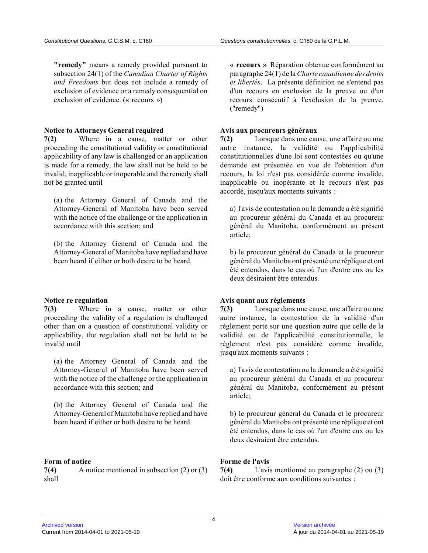**"remedy"** means a remedy provided pursuant to subsection 24(1) of the *Canadian Charter of Rights and Freedoms* but does not include a remedy of exclusion of evidence or a remedy consequential on exclusion of evidence. (« recours »)

#### **Notice to Attorneys General required**

**7(2)** Where in a cause, matter or other proceeding the constitutional validity or constitutional applicability of any law is challenged or an application is made for a remedy, the law shall not be held to be invalid, inapplicable or inoperable and the remedy shall not be granted until

(a) the Attorney General of Canada and the Attorney-General of Manitoba have been served with the notice of the challenge or the application in accordance with this section; and

(b) the Attorney General of Canada and the Attorney-General of Manitoba have replied and have been heard if either or both desire to be heard.

#### **Notice re regulation**

**7(3)** Where in a cause, matter or other proceeding the validity of a regulation is challenge d other than on a question of constitutional validity or applicability, the regulation shall not be held to be invalid until

(a) the Attorney General of Canada and the Attorney-General of Manitoba have been served with the notice of the challenge or the application in accordance with this section; and

(b) the Attorney General of Canada and the Attorney-General of Manitoba have replied and have been heard if either or both desire to be heard.

# **Form of notice**

**7(4)** A notice mentioned in subsection (2) or (3) shall

**« recours »** Réparation obtenue conformément au paragraphe 24(1) de la *Charte canadienne des droits et libertés*. La présente définition ne s'entend pas d'un recours en exclusion de la preuve ou d'un recours consécutif à l'exclusion de la preuve. ("remedy")

### **Avis aux procureurs généraux**

**7(2)** Lorsque dans une cause, une affaire ou une autre instance, la validité ou l'applicabilité constitutionnelles d'une loi sont contestées ou qu'une demande est présentée en vue de l'obtention d'un recours, la loi n'est pas considérée comme invalide, inapplicable ou inopérante et le recours n'est pas accordé, jusqu'aux moments suivants :

a) l'avis de contestation ou la demande a été signifi é au procureur général du Canada et au procureur général du Manitoba, conformément au présent article;

b) le procureur général du Canada et le procureur général du Manitoba ont présenté une réplique et on t été entendus, dans le cas où l'un d'entre eux ou le s deux désiraient être entendus.

#### **Avis quant aux règlements**

**7(3)** Lorsque dans une cause, une affaire ou une autre instance, la contestation de la validité d'un règlement porte sur une question autre que celle de la validité ou de l'applicabilité constitutionnelle, l e règlement n'est pas considéré comme invalide, jusqu'aux moments suivants :

a) l'avis de contestation ou la demande a été signifi é au procureur général du Canada et au procureur général du Manitoba, conformément au présent article;

b) le procureur général du Canada et le procureur général du Manitoba ont présenté une réplique et on t été entendus, dans le cas où l'un d'entre eux ou le s deux désiraient être entendus.

# **Forme de l'avis**

**7(4)** L'avis mentionné au paragraphe (2) ou (3) doit être conforme aux conditions suivantes :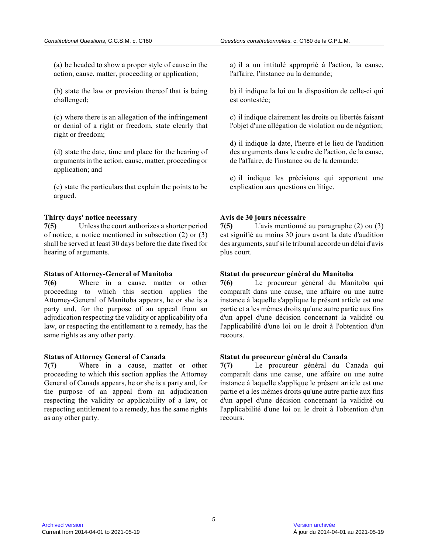(a) be headed to show a proper style of cause in the action, cause, matter, proceeding or application;

(b) state the law or provision thereof that is being challenged;

(c) where there is an allegation of the infringement or denial of a right or freedom, state clearly that right or freedom;

(d) state the date, time and place for the hearing o f arguments in the action, cause, matter, proceeding o r application; and

(e) state the particulars that explain the points to be argued.

#### **Thirty days' notice necessary**

**7(5)** Unless the court authorizes a shorter period of notice, a notice mentioned in subsection (2) or (3) shall be served at least 30 days before the date fixed for hearing of arguments.

#### **Status of Attorney-General of Manitoba**

**7(6)** Where in a cause, matter or other proceeding to which this section applies the Attorney-General of Manitoba appears, he or she is a party and, for the purpose of an appeal from an adjudication respecting the validity or applicability of a law, or respecting the entitlement to a remedy, has the same rights as any other party.

#### **Status of Attorney General of Canada**

**7(7)** Where in a cause, matter or other proceeding to which this section applies the Attorney General of Canada appears, he or she is a party and, for the purpose of an appeal from an adjudication respecting the validity or applicability of a law, o r respecting entitlement to a remedy, has the same rights as any other party.

a) il a un intitulé approprié à l'action, la cause, l'affaire, l'instance ou la demande;

b) il indique la loi ou la disposition de celle-ci qui est contestée;

c) il indique clairement les droits ou libertés faisant l'objet d'une allégation de violation ou de négation;

d) il indique la date, l'heure et le lieu de l'audition des arguments dans le cadre de l'action, de la cause, de l'affaire, de l'instance ou de la demande;

e) il indique les précisions qui apportent une explication aux questions en litige.

#### **Avis de 30 jours nécessaire**

**7(5)** L'avis mentionné au paragraphe (2) ou (3) est signifié au moins 30 jours avant la date d'audition des arguments, sauf si le tribunal accorde un délai d'avis plus court.

#### **Statut du procureur général du Manitoba**

**7(6)** Le procureur général du Manitoba qui comparaît dans une cause, une affaire ou une autre instance à laquelle s'applique le présent article est une partie et a les mêmes droits qu'une autre partie aux fins d'un appel d'une décision concernant la validité ou l'applicabilité d'une loi ou le droit à l'obtention d'un recours.

#### **Statut du procureur général du Canada**

**7(7)** Le procureur général du Canada qui comparaît dans une cause, une affaire ou une autre instance à laquelle s'applique le présent article est une partie et a les mêmes droits qu'une autre partie aux fins d'un appel d'une décision concernant la validité ou l'applicabilité d'une loi ou le droit à l'obtention d'un recours.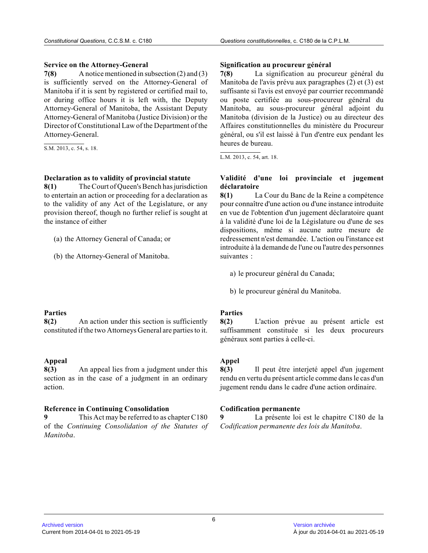#### **Service on the Attorney-General**

**7(8)** A notice mentioned in subsection (2) and (3) is sufficiently served on the Attorney-General of Manitoba if it is sent by registered or certified mail to, or during office hours it is left with, the Deputy Attorney-General of Manitoba, the Assistant Deputy Attorney-General of Manitoba (Justice Division) or the Director of Constitutional Law of the Department of the Attorney-General.

S.M. 2013, c. 54, s. 18.

#### **Declaration as to validity of provincial statute**

**8(1)** The Court of Queen's Bench has jurisdiction to entertain an action or proceeding for a declaration as to the validity of any Act of the Legislature, or any provision thereof, though no further relief is sought at the instance of either

(a) the Attorney General of Canada; or

(b) the Attorney-General of Manitoba.

#### **Parties**

**8(2)** An action under this section is sufficiently constituted if the two Attorneys General are parties to it.

# **Appeal**

**8(3)** An appeal lies from a judgment under this section as in the case of a judgment in an ordinary action.

#### **Reference in Continuing Consolidation**

**9** This Act may be referred to as chapter C180 of the *Continuing Consolidation of the Statutes of Manitoba* .

#### **Signification au procureur général**

**7(8)** La signification au procureur général du Manitoba de l'avis prévu aux paragraphes (2) et (3) est suffisante si l'avis est envoyé par courrier recommandé ou poste certifiée au sous-procureur général du Manitoba, au sous-procureur général adjoint du Manitoba (division de la Justice) ou au directeur de s Affaires constitutionnelles du ministère du Procureur général, ou s'il est laissé à l'un d'entre eux pendant les heures de bureau.

L.M. 2013, c. 54, art. 18.

### **Validité d'une loi provinciale et jugement déclaratoire**

**8(1)** La Cour du Banc de la Reine a compétence pour connaître d'une action ou d'une instance introduite en vue de l'obtention d'un jugement déclaratoire quant à la validité d'une loi de la Législature ou d'une de ses dispositions, même si aucune autre mesure de redressement n'est demandée. L'action ou l'instance est introduite à la demande de l'une ou l'autre des personnes suivantes :

- a) le procureur général du Canada;
- b) le procureur général du Manitoba.

#### **Parties**

**8(2)** L'action prévue au présent article est suffisamment constituée si les deux procureurs généraux sont parties à celle-ci.

### **Appel**

**8(3)** Il peut être interjeté appel d'un jugement rendu en vertu du présent article comme dans le cas d'un jugement rendu dans le cadre d'une action ordinaire .

#### **Codification permanente**

**9** La présente loi est le chapitre C180 de la *Codification permanente des lois du Manitoba* .